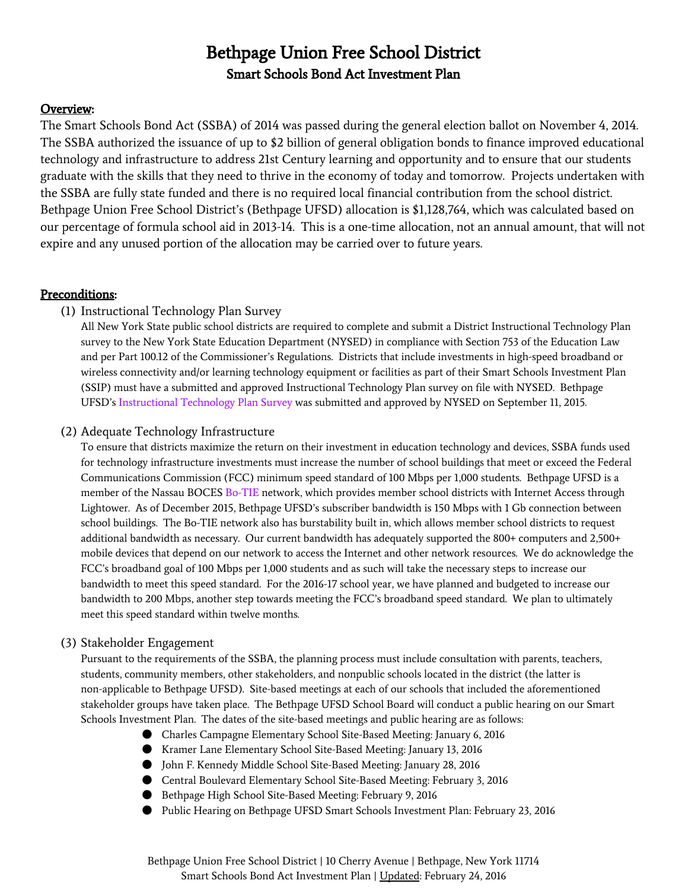# Bethpage Union Free School District Smart Schools Bond Act Investment Plan

# Overview:

The Smart Schools Bond Act (SSBA) of 2014 was passed during the general election ballot on November 4, 2014. The SSBA authorized the issuance of up to \$2 billion of general obligation bonds to finance improved educational technology and infrastructure to address 21st Century learning and opportunity and to ensure that our students graduate with the skills that they need to thrive in the economy of today and tomorrow. Projects undertaken with the SSBA are fully state funded and there is no required local financial contribution from the school district. Bethpage Union Free School District's (Bethpage UFSD) allocation is \$1,128,764, which was calculated based on our percentage of formula school aid in 2013-14. This is a one-time allocation, not an annual amount, that will not expire and any unused portion of the allocation may be carried over to future years.

# Preconditions:

# (1) Instructional Technology Plan Survey

All New York State public school districts are required to complete and submit a District Instructional Technology Plan survey to the New York State Education Department (NYSED) in compliance with Section 753 of the Education Law and per Part 100.12 of the Commissioner's Regulations. Districts that include investments in high-speed broadband or wireless connectivity and/or learning technology equipment or facilities as part of their Smart Schools Investment Plan (SSIP) must have a submitted and approved Instructional Technology Plan survey on file with NYSED. Bethpage UFSD's [Instructional](http://goo.gl/GkVjVB) Technology Plan Survey was submitted and approved by NYSED on September 11, 2015.

# (2) Adequate Technology Infrastructure

To ensure that districts maximize the return on their investment in education technology and devices, SSBA funds used for technology infrastructure investments must increase the number of school buildings that meet or exceed the Federal Communications Commission (FCC) minimum speed standard of 100 Mbps per 1,000 students. Bethpage UFSD is a member of the Nassau BOCES [Bo-TIE](http://goo.gl/1Pwaik) network, which provides member school districts with Internet Access through Lightower. As of December 2015, Bethpage UFSD's subscriber bandwidth is 150 Mbps with 1 Gb connection between school buildings. The Bo-TIE network also has burstability built in, which allows member school districts to request additional bandwidth as necessary. Our current bandwidth has adequately supported the 800+ computers and 2,500+ mobile devices that depend on our network to access the Internet and other network resources. We do acknowledge the FCC's broadband goal of 100 Mbps per 1,000 students and as such will take the necessary steps to increase our bandwidth to meet this speed standard. For the 2016-17 school year, we have planned and budgeted to increase our bandwidth to 200 Mbps, another step towards meeting the FCC's broadband speed standard. We plan to ultimately meet this speed standard within twelve months.

# (3) Stakeholder Engagement

Pursuant to the requirements of the SSBA, the planning process must include consultation with parents, teachers, students, community members, other stakeholders, and nonpublic schools located in the district (the latter is non-applicable to Bethpage UFSD). Site-based meetings at each of our schools that included the aforementioned stakeholder groups have taken place. The Bethpage UFSD School Board will conduct a public hearing on our Smart Schools Investment Plan. The dates of the site-based meetings and public hearing are as follows:

- Charles Campagne Elementary School Site-Based Meeting: January 6, 2016
- Kramer Lane Elementary School Site-Based Meeting: January 13, 2016
- John F. Kennedy Middle School Site-Based Meeting: January 28, 2016
- Central Boulevard Elementary School Site-Based Meeting: February 3, 2016
- Bethpage High School Site-Based Meeting: February 9, 2016
- Public Hearing on Bethpage UFSD Smart Schools Investment Plan: February 23, 2016

Bethpage Union Free School District | 10 Cherry Avenue | Bethpage, New York 11714 Smart Schools Bond Act Investment Plan | Updated: February 24, 2016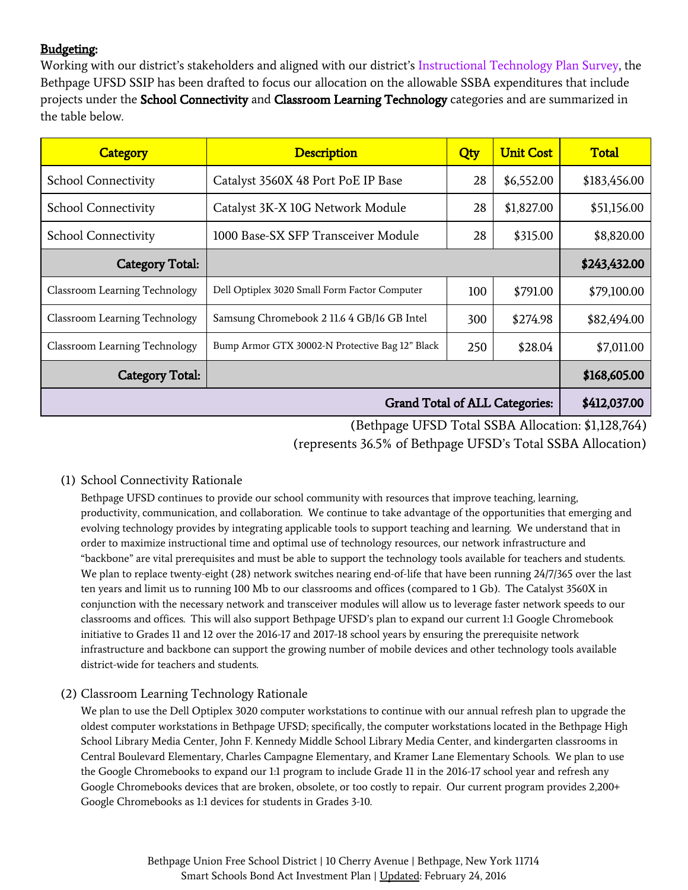# Budgeting:

Working with our district's stakeholders and aligned with our district's [Instructional](http://goo.gl/GkVjVB) Technology Plan Survey, the Bethpage UFSD SSIP has been drafted to focus our allocation on the allowable SSBA expenditures that include projects under the School Connectivity and Classroom Learning Technology categories and are summarized in the table below.

| <b>Category</b>                       | <b>Description</b>                              | Qty | <b>Unit Cost</b> | <b>Total</b> |
|---------------------------------------|-------------------------------------------------|-----|------------------|--------------|
| <b>School Connectivity</b>            | Catalyst 3560X 48 Port PoE IP Base              | 28  | \$6,552.00       | \$183,456.00 |
| <b>School Connectivity</b>            | Catalyst 3K-X 10G Network Module                | 28  | \$1,827.00       | \$51,156.00  |
| <b>School Connectivity</b>            | 1000 Base-SX SFP Transceiver Module             | 28  | \$315.00         | \$8,820.00   |
| <b>Category Total:</b>                |                                                 |     |                  | \$243,432.00 |
| Classroom Learning Technology         | Dell Optiplex 3020 Small Form Factor Computer   | 100 | \$791.00         | \$79,100.00  |
| Classroom Learning Technology         | Samsung Chromebook 2 11.6 4 GB/16 GB Intel      | 300 | \$274.98         | \$82,494.00  |
| Classroom Learning Technology         | Bump Armor GTX 30002-N Protective Bag 12" Black | 250 | \$28.04          | \$7,011.00   |
| Category Total:                       |                                                 |     |                  | \$168,605.00 |
| <b>Grand Total of ALL Categories:</b> |                                                 |     |                  | \$412,037.00 |

(Bethpage UFSD Total SSBA Allocation: \$1,128,764) (represents 36.5% of Bethpage UFSD's Total SSBA Allocation)

#### (1) School Connectivity Rationale

Bethpage UFSD continues to provide our school community with resources that improve teaching, learning, productivity, communication, and collaboration. We continue to take advantage of the opportunities that emerging and evolving technology provides by integrating applicable tools to support teaching and learning. We understand that in order to maximize instructional time and optimal use of technology resources, our network infrastructure and "backbone" are vital prerequisites and must be able to support the technology tools available for teachers and students. We plan to replace twenty-eight (28) network switches nearing end-of-life that have been running 24/7/365 over the last ten years and limit us to running 100 Mb to our classrooms and offices (compared to 1 Gb). The Catalyst 3560X in conjunction with the necessary network and transceiver modules will allow us to leverage faster network speeds to our classrooms and offices. This will also support Bethpage UFSD's plan to expand our current 1:1 Google Chromebook initiative to Grades 11 and 12 over the 2016-17 and 2017-18 school years by ensuring the prerequisite network infrastructure and backbone can support the growing number of mobile devices and other technology tools available district-wide for teachers and students.

#### (2) Classroom Learning Technology Rationale

We plan to use the Dell Optiplex 3020 computer workstations to continue with our annual refresh plan to upgrade the oldest computer workstations in Bethpage UFSD; specifically, the computer workstations located in the Bethpage High School Library Media Center, John F. Kennedy Middle School Library Media Center, and kindergarten classrooms in Central Boulevard Elementary, Charles Campagne Elementary, and Kramer Lane Elementary Schools. We plan to use the Google Chromebooks to expand our 1:1 program to include Grade 11 in the 2016-17 school year and refresh any Google Chromebooks devices that are broken, obsolete, or too costly to repair. Our current program provides 2,200+ Google Chromebooks as 1:1 devices for students in Grades 3-10.